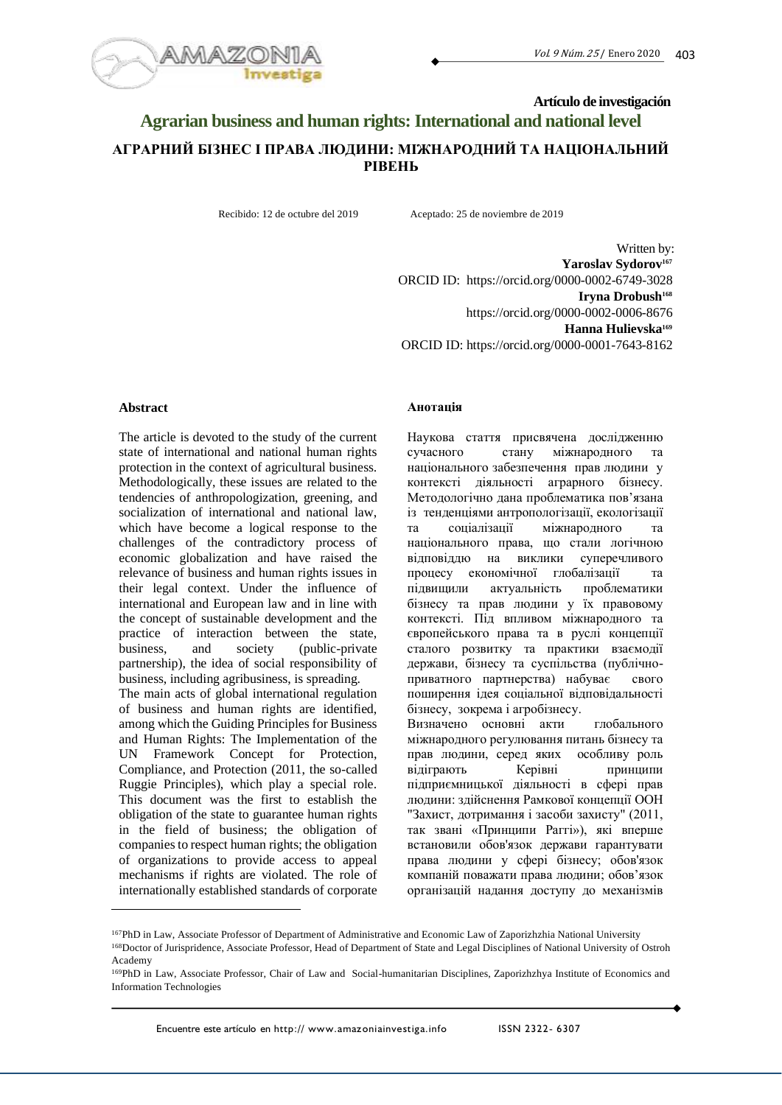

# **Artículo de investigación Agrarian business and human rights: International and national level АГРАРНИЙ БІЗНЕС І ПРАВА ЛЮДИНИ: МІЖНАРОДНИЙ ТА НАЦІОНАЛЬНИЙ РІВЕНЬ**

Recibido: 12 de octubre del 2019 Aceptado: 25 de noviembre de 2019

Written by: **Yaroslav Sydorov<sup>167</sup>** ORCID ID: https://orcid.org/0000-0002-6749-3028 **Iryna Drobush<sup>168</sup>** https://orcid.org/0000-0002-0006-8676 **Hanna Hulievska<sup>169</sup>** ORCID ID: https://orcid.org/0000-0001-7643-8162

### **Abstract**

The article is devoted to the study of the current state of international and national human rights protection in the context of agricultural business. Methodologically, these issues are related to the tendencies of anthropologization, greening, and socialization of international and national law, which have become a logical response to the challenges of the contradictory process of economic globalization and have raised the relevance of business and human rights issues in their legal context. Under the influence of international and European law and in line with the concept of sustainable development and the practice of interaction between the state, business, and society (public-private partnership), the idea of social responsibility of business, including agribusiness, is spreading. The main acts of global international regulation of business and human rights are identified, among which the Guiding Principles for Business and Human Rights: The Implementation of the UN Framework Concept for Protection, Compliance, and Protection (2011, the so-called Ruggie Principles), which play a special role. This document was the first to establish the obligation of the state to guarantee human rights in the field of business; the obligation of companies to respect human rights; the obligation of organizations to provide access to appeal mechanisms if rights are violated. The role of internationally established standards of corporate

#### **Анотація**

Наукова стаття присвячена дослідженню сучасного стану міжнародного та національного забезпечення прав людини у контексті діяльності аграрного бізнесу. Методологічно дана проблематика пов'язана із тенденціями антропологізації, екологізації та соціалізації міжнародного та національного права, що стали логічною відповіддю на виклики суперечливого процесу економічної глобалізації та підвищили актуальність проблематики бізнесу та прав людини у їх правовому контексті. Під впливом міжнародного та європейського права та в руслі концепції сталого розвитку та практики взаємодії держави, бізнесу та суспільства (публічноприватного партнерства) набуває свого поширення ідея соціальної відповідальності бізнесу, зокрема і агробізнесу. Визначено основні акти глобального міжнародного регулювання питань бізнесу та прав людини, серед яких особливу роль відіграють Керівні принципи підприємницької діяльності в сфері прав людини: здійснення Рамкової концепції ООН "Захист, дотримання і засоби захисту" (2011, так звані «Принципи Раггі»), які вперше

встановили обов'язок держави гарантувати права людини у сфері бізнесу; обов'язок компаній поважати права людини; обов'язок організацій надання доступу до механізмів

<sup>167</sup>PhD in Law, Associate Professor of Department of Administrative and Economic Law of Zaporizhzhia National University <sup>168</sup>Doctor of Jurispridence, Associate Professor, Head of Department of State and Legal Disciplines of National University of Ostroh Academy

<sup>169</sup>PhD in Law, Associate Professor, Chair of Law and Social-humanitarian Disciplines, Zaporizhzhya Institute of Economics and Information Technologies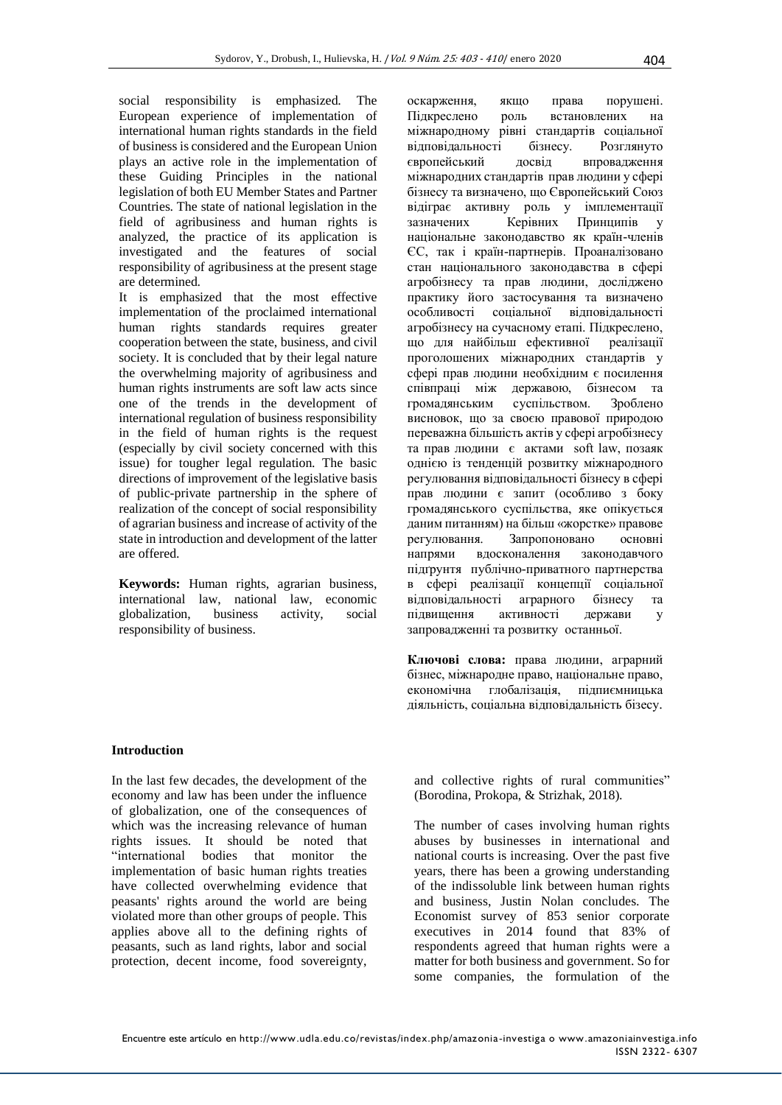social responsibility is emphasized. The European experience of implementation of international human rights standards in the field of business is considered and the European Union plays an active role in the implementation of these Guiding Principles in the national legislation of both EU Member States and Partner Countries. The state of national legislation in the field of agribusiness and human rights is analyzed, the practice of its application is investigated and the features of social responsibility of agribusiness at the present stage are determined.

It is emphasized that the most effective implementation of the proclaimed international human rights standards requires greater cooperation between the state, business, and civil society. It is concluded that by their legal nature the overwhelming majority of agribusiness and human rights instruments are soft law acts since one of the trends in the development of international regulation of business responsibility in the field of human rights is the request (especially by civil society concerned with this issue) for tougher legal regulation. The basic directions of improvement of the legislative basis of public-private partnership in the sphere of realization of the concept of social responsibility of agrarian business and increase of activity of the state in introduction and development of the latter are offered.

**Keywords:** Human rights, agrarian business, international law, national law, economic globalization, business activity, social responsibility of business.

оскарження, якщо права порушені. Підкреслено роль встановлених на міжнародному рівні стандартів соціальної відповідальності бізнесу. Розглянуто європейський досвід впровадження міжнародних стандартів прав людини у сфері бізнесу та визначено, що Європейський Союз відіграє активну роль у імплементації зазначених Керівних Принципів у національне законодавство як країн-членів ЄС, так і країн-партнерів. Проаналізовано стан національного законодавства в сфері агробізнесу та прав людини, досліджено практику його застосування та визначено особливості соціальної відповідальності агробізнесу на сучасному етапі. Підкреслено, що для найбільш ефективної реалізації проголошених міжнародних стандартів у сфері прав людини необхідним є посилення співпраці між державою, бізнесом та громадянським суспільством. Зроблено висновок, що за своєю правової природою переважна більшість актів у сфері агробізнесу та прав людини є актами soft law, позаяк однією із тенденцій розвитку міжнародного регулювання відповідальності бізнесу в сфері прав людини є запит (особливо з боку громадянського суспільства, яке опікується даним питанням) на більш «жорстке» правове регулювання. Запропоновано основні напрями вдосконалення законодавчого підґрунтя публічно-приватного партнерства в сфері реалізації концепції соціальної відповідальності аграрного бізнесу та підвищення активності держави у запровадженні та розвитку останньої.

**Ключові слова:** права людини, аграрний бізнес, міжнародне право, національне право, економічна глобалізація, підпиємницька діяльність, соціальна відповідальність бізесу.

#### **Introduction**

In the last few decades, the development of the economy and law has been under the influence of globalization, one of the consequences of which was the increasing relevance of human rights issues. It should be noted that "international bodies that monitor the implementation of basic human rights treaties have collected overwhelming evidence that peasants' rights around the world are being violated more than other groups of people. This applies above all to the defining rights of peasants, such as land rights, labor and social protection, decent income, food sovereignty,

and collective rights of rural communities" (Borodina, Prokopa, & Strizhak, 2018).

The number of cases involving human rights abuses by businesses in international and national courts is increasing. Over the past five years, there has been a growing understanding of the indissoluble link between human rights and business, Justin Nolan concludes. The Economist survey of 853 senior corporate executives in 2014 found that 83% of respondents agreed that human rights were a matter for both business and government. So for some companies, the formulation of the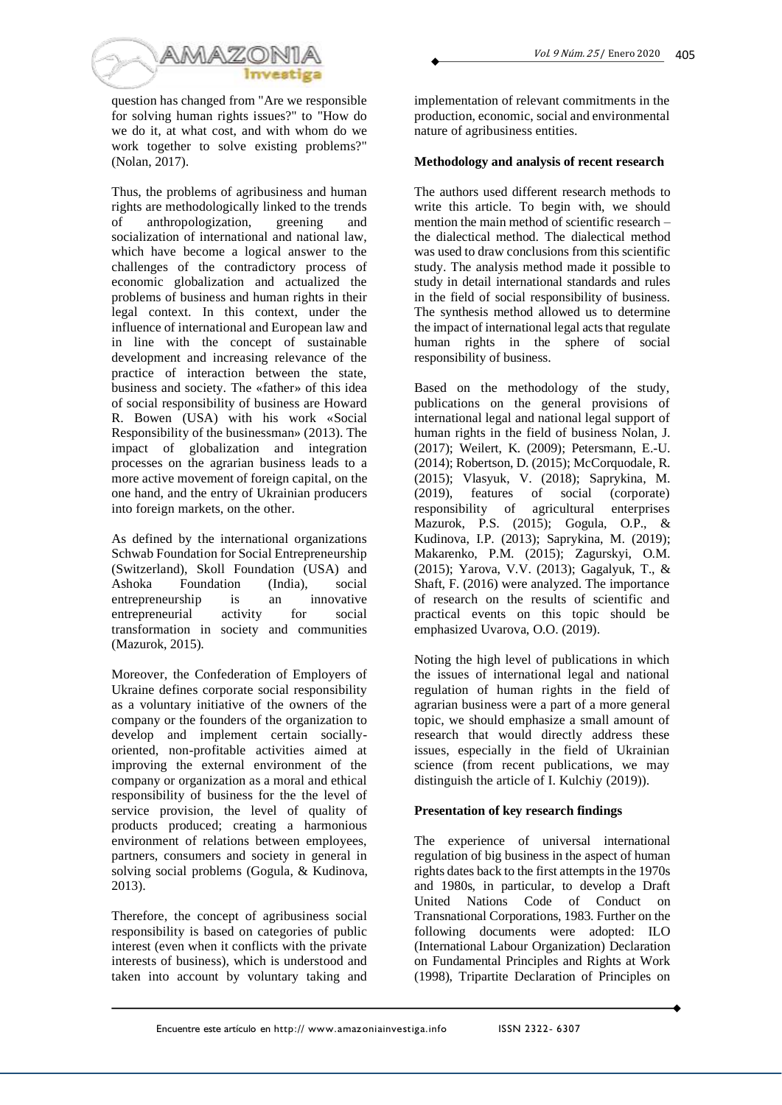



question has changed from "Are we responsible for solving human rights issues?" to "How do we do it, at what cost, and with whom do we work together to solve existing problems?" (Nolan, 2017).

Thus, the problems of agribusiness and human rights are methodologically linked to the trends of anthropologization, greening and socialization of international and national law, which have become a logical answer to the challenges of the contradictory process of economic globalization and actualized the problems of business and human rights in their legal context. In this context, under the influence of international and European law and in line with the concept of sustainable development and increasing relevance of the practice of interaction between the state, business and society. The «father» of this idea of social responsibility of business are Howard R. Bowen (USA) with his work «Social Responsibility of the businessman» (2013). The impact of globalization and integration processes on the agrarian business leads to a more active movement of foreign capital, on the one hand, and the entry of Ukrainian producers into foreign markets, on the other.

As defined by the international organizations Schwab Foundation for Social Entrepreneurship (Switzerland), Skoll Foundation (USA) and Ashoka Foundation (India), social entrepreneurship is an innovative entrepreneurial activity for social transformation in society and communities (Mazurok, 2015).

Moreover, the Confederation of Employers of Ukraine defines corporate social responsibility as a voluntary initiative of the owners of the company or the founders of the organization to develop and implement certain sociallyoriented, non-profitable activities aimed at improving the external environment of the company or organization as a moral and ethical responsibility of business for the the level of service provision, the level of quality of products produced; creating a harmonious environment of relations between employees, partners, consumers and society in general in solving social problems (Gogula, & Kudinova, 2013).

Therefore, the concept of agribusiness social responsibility is based on categories of public interest (even when it conflicts with the private interests of business), which is understood and taken into account by voluntary taking and

implementation of relevant commitments in the production, economic, social and environmental nature of agribusiness entities.

## **Methodology and analysis of recent research**

The authors used different research methods to write this article. To begin with, we should mention the main method of scientific research – the dialectical method. The dialectical method was used to draw conclusions from this scientific study. The analysis method made it possible to study in detail international standards and rules in the field of social responsibility of business. The synthesis method allowed us to determine the impact of international legal acts that regulate human rights in the sphere of social responsibility of business.

Based on the methodology of the study, publications on the general provisions of international legal and national legal support of human rights in the field of business Nolan, J. (2017); Weilert, K. (2009); Petersmann, E.-U. (2014); Robertson, D. (2015); McCorquodale, R. (2015); Vlasyuk, V. (2018); Saprykina, M. (2019), features of social (corporate) responsibility of agricultural enterprises Mazurok, P.S. (2015); Gogula, O.P., & Kudinova, I.P. (2013); Saprykina, M. (2019); Makarenko, P.M. (2015); Zagurskyi, O.M. (2015); Yarova, V.V. (2013); Gagalyuk, T., & Shaft, F. (2016) were analyzed. The importance of research on the results of scientific and practical events on this topic should be emphasized Uvarova, O.O. (2019).

Noting the high level of publications in which the issues of international legal and national regulation of human rights in the field of agrarian business were a part of a more general topic, we should emphasize a small amount of research that would directly address these issues, especially in the field of Ukrainian science (from recent publications, we may distinguish the article of I. Kulchiy (2019)).

# **Presentation of key research findings**

The experience of universal international regulation of big business in the aspect of human rights dates back to the first attempts in the 1970s and 1980s, in particular, to develop a Draft United Nations Code of Conduct on Transnational Corporations, 1983. Further on the following documents were adopted: ILO (International Labour Organization) Declaration on Fundamental Principles and Rights at Work (1998), Tripartite Declaration of Principles on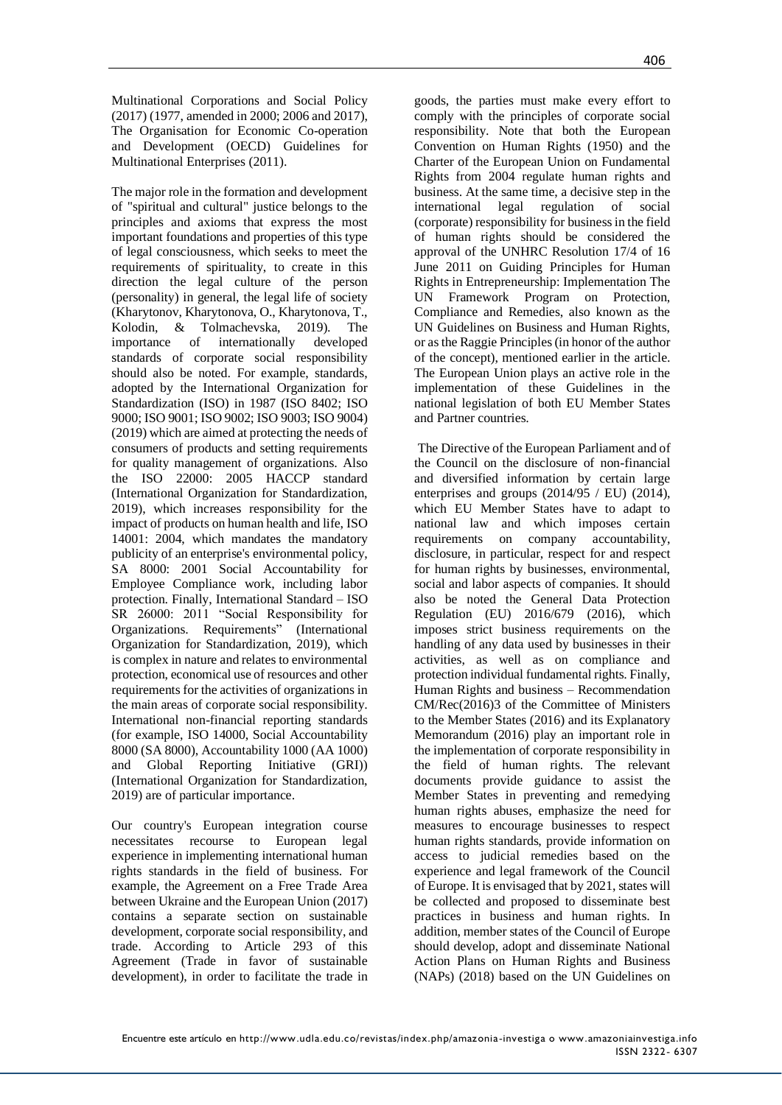Multinational Corporations and Social Policy (2017) (1977, amended in 2000; 2006 and 2017), The Organisation for Economic Co-operation and Development (OECD) Guidelines for Multinational Enterprises (2011).

The major role in the formation and development of "spiritual and cultural" justice belongs to the principles and axioms that express the most important foundations and properties of this type of legal consciousness, which seeks to meet the requirements of spirituality, to create in this direction the legal culture of the person (personality) in general, the legal life of society (Kharytonov, Kharytonova, O., Kharytonova, T., Kolodin, & Tolmachevska, 2019). The importance of internationally developed standards of corporate social responsibility should also be noted. For example, standards, adopted by the International Organization for Standardization (ISO) in 1987 (ISO 8402; ISO 9000; ISO 9001; ISO 9002; ISO 9003; ISO 9004) (2019) which are aimed at protecting the needs of consumers of products and setting requirements for quality management of organizations. Also the ISO 22000: 2005 HACCP standard (International Organization for Standardization, 2019), which increases responsibility for the impact of products on human health and life, ISO 14001: 2004, which mandates the mandatory publicity of an enterprise's environmental policy, SA 8000: 2001 Social Accountability for Employee Compliance work, including labor protection. Finally, International Standard – ISO SR 26000: 2011 "Social Responsibility for Organizations. Requirements" (International Organization for Standardization, 2019), which is complex in nature and relates to environmental protection, economical use of resources and other requirements for the activities of organizations in the main areas of corporate social responsibility. International non-financial reporting standards (for example, ISO 14000, Social Accountability 8000 (SA 8000), Accountability 1000 (AA 1000) and Global Reporting Initiative (GRI)) (International Organization for Standardization, 2019) are of particular importance.

Our country's European integration course necessitates recourse to European legal experience in implementing international human rights standards in the field of business. For example, the Agreement on a Free Trade Area between Ukraine and the European Union (2017) contains a separate section on sustainable development, corporate social responsibility, and trade. According to Article 293 of this Agreement (Trade in favor of sustainable development), in order to facilitate the trade in goods, the parties must make every effort to comply with the principles of corporate social responsibility. Note that both the European Convention on Human Rights (1950) and the Charter of the European Union on Fundamental Rights from 2004 regulate human rights and business. At the same time, a decisive step in the international legal regulation of social (corporate) responsibility for business in the field of human rights should be considered the approval of the UNHRC Resolution 17/4 of 16 June 2011 on Guiding Principles for Human Rights in Entrepreneurship: Implementation The UN Framework Program on Protection, Compliance and Remedies, also known as the UN Guidelines on Business and Human Rights, or as the Raggie Principles (in honor of the author of the concept), mentioned earlier in the article. The European Union plays an active role in the implementation of these Guidelines in the national legislation of both EU Member States and Partner countries.

The Directive of the European Parliament and of the Council on the disclosure of non-financial and diversified information by certain large enterprises and groups (2014/95 / EU) (2014), which EU Member States have to adapt to national law and which imposes certain requirements on company accountability, disclosure, in particular, respect for and respect for human rights by businesses, environmental, social and labor aspects of companies. It should also be noted the General Data Protection Regulation (EU) 2016/679 (2016), which imposes strict business requirements on the handling of any data used by businesses in their activities, as well as on compliance and protection individual fundamental rights. Finally, Human Rights and business – Recommendation CM/Rec(2016)3 of the Committee of Ministers to the Member States (2016) and its Explanatory Memorandum (2016) play an important role in the implementation of corporate responsibility in the field of human rights. The relevant documents provide guidance to assist the Member States in preventing and remedying human rights abuses, emphasize the need for measures to encourage businesses to respect human rights standards, provide information on access to judicial remedies based on the experience and legal framework of the Council of Europe. It is envisaged that by 2021, states will be collected and proposed to disseminate best practices in business and human rights. In addition, member states of the Council of Europe should develop, adopt and disseminate National Action Plans on Human Rights and Business (NAPs) (2018) based on the UN Guidelines on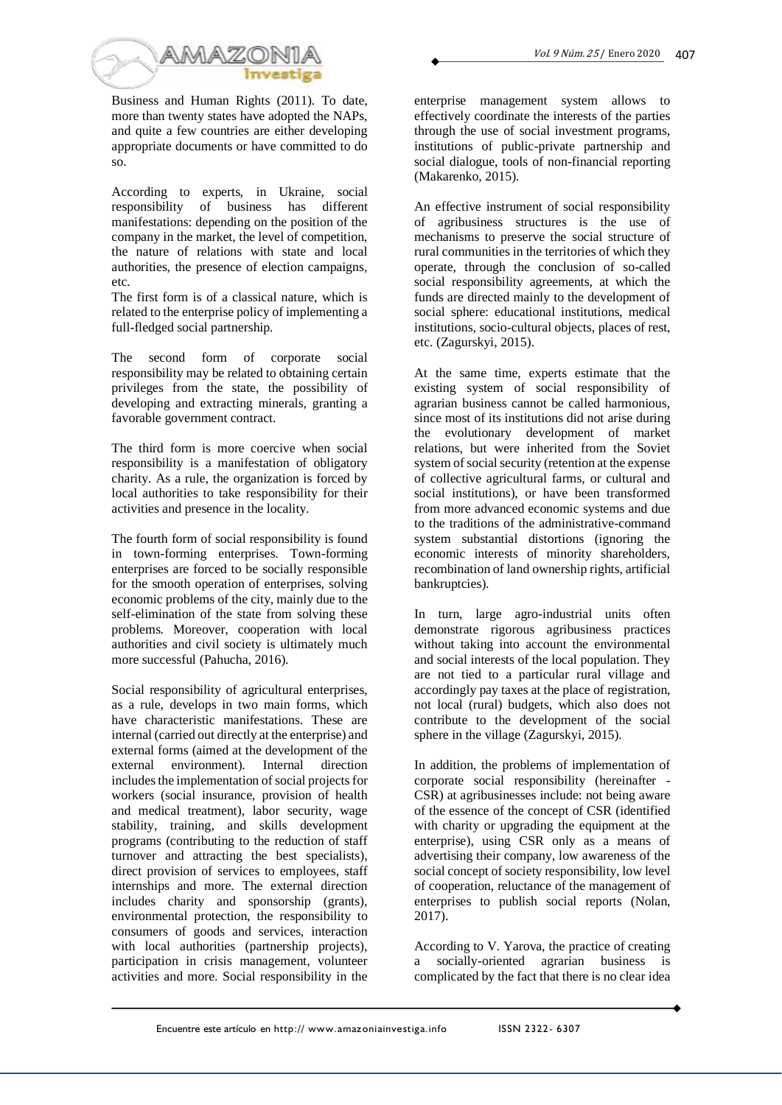

Business and Human Rights (2011). To date, more than twenty states have adopted the NAPs, and quite a few countries are either developing appropriate documents or have committed to do so.

According to experts, in Ukraine, social responsibility of business has different manifestations: depending on the position of the company in the market, the level of competition, the nature of relations with state and local authorities, the presence of election campaigns, etc.

The first form is of a classical nature, which is related to the enterprise policy of implementing a full-fledged social partnership.

The second form of corporate social responsibility may be related to obtaining certain privileges from the state, the possibility of developing and extracting minerals, granting a favorable government contract.

The third form is more coercive when social responsibility is a manifestation of obligatory charity. As a rule, the organization is forced by local authorities to take responsibility for their activities and presence in the locality.

The fourth form of social responsibility is found in town-forming enterprises. Town-forming enterprises are forced to be socially responsible for the smooth operation of enterprises, solving economic problems of the city, mainly due to the self-elimination of the state from solving these problems. Moreover, cooperation with local authorities and civil society is ultimately much more successful (Pahucha, 2016).

Social responsibility of agricultural enterprises, as a rule, develops in two main forms, which have characteristic manifestations. These are internal (carried out directly at the enterprise) and external forms (aimed at the development of the external environment). Internal direction includes the implementation of social projects for workers (social insurance, provision of health and medical treatment), labor security, wage stability, training, and skills development programs (contributing to the reduction of staff turnover and attracting the best specialists), direct provision of services to employees, staff internships and more. The external direction includes charity and sponsorship (grants), environmental protection, the responsibility to consumers of goods and services, interaction with local authorities (partnership projects), participation in crisis management, volunteer activities and more. Social responsibility in the enterprise management system allows to effectively coordinate the interests of the parties through the use of social investment programs, institutions of public-private partnership and social dialogue, tools of non-financial reporting (Makarenko, 2015).

An effective instrument of social responsibility of agribusiness structures is the use of mechanisms to preserve the social structure of rural communities in the territories of which they operate, through the conclusion of so-called social responsibility agreements, at which the funds are directed mainly to the development of social sphere: educational institutions, medical institutions, socio-cultural objects, places of rest, etc. (Zagurskyi, 2015).

At the same time, experts estimate that the existing system of social responsibility of agrarian business cannot be called harmonious, since most of its institutions did not arise during the evolutionary development of market relations, but were inherited from the Soviet system of social security (retention at the expense of collective agricultural farms, or cultural and social institutions), or have been transformed from more advanced economic systems and due to the traditions of the administrative-command system substantial distortions (ignoring the economic interests of minority shareholders, recombination of land ownership rights, artificial bankruptcies).

In turn, large agro-industrial units often demonstrate rigorous agribusiness practices without taking into account the environmental and social interests of the local population. They are not tied to a particular rural village and accordingly pay taxes at the place of registration, not local (rural) budgets, which also does not contribute to the development of the social sphere in the village (Zagurskyi, 2015).

In addition, the problems of implementation of corporate social responsibility (hereinafter - CSR) at agribusinesses include: not being aware of the essence of the concept of CSR (identified with charity or upgrading the equipment at the enterprise), using CSR only as a means of advertising their company, low awareness of the social concept of society responsibility, low level of cooperation, reluctance of the management of enterprises to publish social reports (Nolan, 2017).

According to V. Yarova, the practice of creating a socially-oriented agrarian business is complicated by the fact that there is no clear idea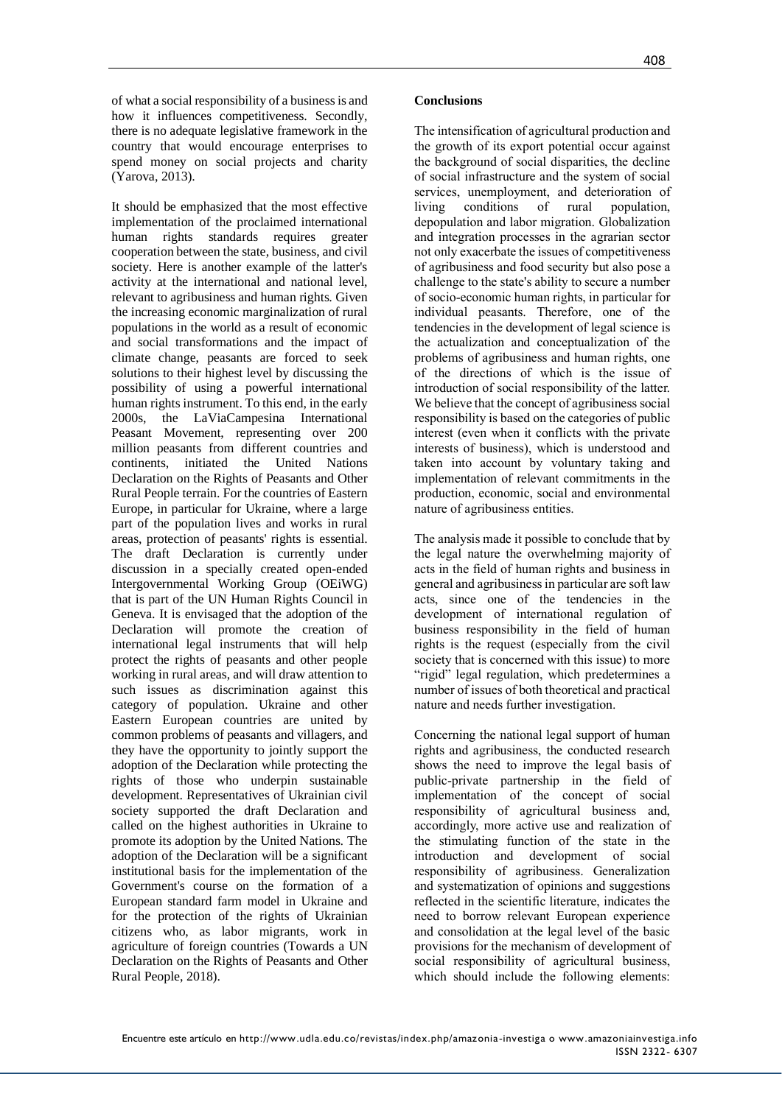of what a social responsibility of a business is and how it influences competitiveness. Secondly, there is no adequate legislative framework in the country that would encourage enterprises to spend money on social projects and charity (Yarova, 2013).

It should be emphasized that the most effective implementation of the proclaimed international human rights standards requires greater cooperation between the state, business, and civil society. Here is another example of the latter's activity at the international and national level, relevant to agribusiness and human rights. Given the increasing economic marginalization of rural populations in the world as a result of economic and social transformations and the impact of climate change, peasants are forced to seek solutions to their highest level by discussing the possibility of using a powerful international human rights instrument. To this end, in the early 2000s, the LaViaCampesina International Peasant Movement, representing over 200 million peasants from different countries and continents, initiated the United Nations Declaration on the Rights of Peasants and Other Rural People terrain. For the countries of Eastern Europe, in particular for Ukraine, where a large part of the population lives and works in rural areas, protection of peasants' rights is essential. The draft Declaration is currently under discussion in a specially created open-ended Intergovernmental Working Group (OEiWG) that is part of the UN Human Rights Council in Geneva. It is envisaged that the adoption of the Declaration will promote the creation of international legal instruments that will help protect the rights of peasants and other people working in rural areas, and will draw attention to such issues as discrimination against this category of population. Ukraine and other Eastern European countries are united by common problems of peasants and villagers, and they have the opportunity to jointly support the adoption of the Declaration while protecting the rights of those who underpin sustainable development. Representatives of Ukrainian civil society supported the draft Declaration and called on the highest authorities in Ukraine to promote its adoption by the United Nations. The adoption of the Declaration will be a significant institutional basis for the implementation of the Government's course on the formation of a European standard farm model in Ukraine and for the protection of the rights of Ukrainian citizens who, as labor migrants, work in agriculture of foreign countries (Towards a UN Declaration on the Rights of Peasants and Other Rural People, 2018).

### **Conclusions**

The intensification of agricultural production and the growth of its export potential occur against the background of social disparities, the decline of social infrastructure and the system of social services, unemployment, and deterioration of living conditions of rural population, depopulation and labor migration. Globalization and integration processes in the agrarian sector not only exacerbate the issues of competitiveness of agribusiness and food security but also pose a challenge to the state's ability to secure a number of socio-economic human rights, in particular for individual peasants. Therefore, one of the tendencies in the development of legal science is the actualization and conceptualization of the problems of agribusiness and human rights, one of the directions of which is the issue of introduction of social responsibility of the latter. We believe that the concept of agribusiness social responsibility is based on the categories of public interest (even when it conflicts with the private interests of business), which is understood and taken into account by voluntary taking and implementation of relevant commitments in the production, economic, social and environmental nature of agribusiness entities.

The analysis made it possible to conclude that by the legal nature the overwhelming majority of acts in the field of human rights and business in general and agribusiness in particular are soft law acts, since one of the tendencies in the development of international regulation of business responsibility in the field of human rights is the request (especially from the civil society that is concerned with this issue) to more "rigid" legal regulation, which predetermines a number of issues of both theoretical and practical nature and needs further investigation.

Concerning the national legal support of human rights and agribusiness, the conducted research shows the need to improve the legal basis of public-private partnership in the field of implementation of the concept of social responsibility of agricultural business and, accordingly, more active use and realization of the stimulating function of the state in the introduction and development of social responsibility of agribusiness. Generalization and systematization of opinions and suggestions reflected in the scientific literature, indicates the need to borrow relevant European experience and consolidation at the legal level of the basic provisions for the mechanism of development of social responsibility of agricultural business, which should include the following elements: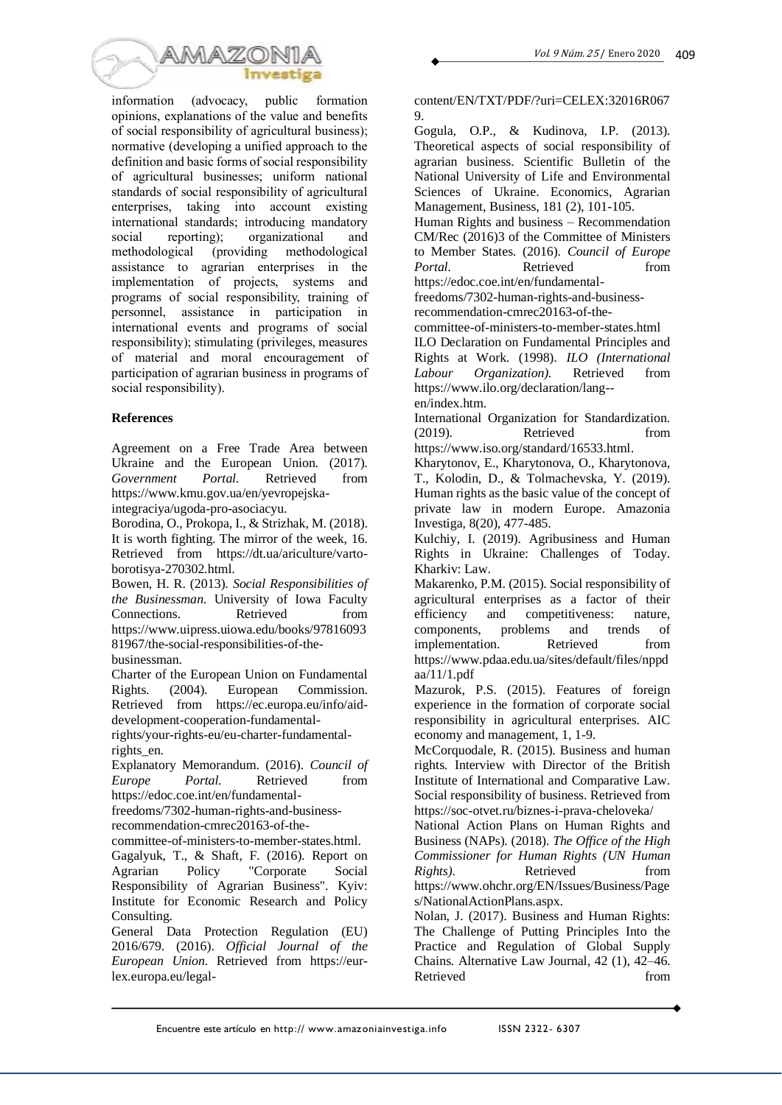

information (advocacy, public formation opinions, explanations of the value and benefits of social responsibility of agricultural business); normative (developing a unified approach to the definition and basic forms of social responsibility of agricultural businesses; uniform national standards of social responsibility of agricultural enterprises, taking into account existing international standards; introducing mandatory social reporting); organizational and methodological (providing methodological assistance to agrarian enterprises in the implementation of projects, systems and programs of social responsibility, training of personnel, assistance in participation in international events and programs of social responsibility); stimulating (privileges, measures of material and moral encouragement of participation of agrarian business in programs of social responsibility).

### **References**

Agreement on a Free Trade Area between Ukraine and the European Union. (2017). *Government Portal.* Retrieved from https://www.kmu.gov.ua/en/yevropejskaintegraciya/ugoda-pro-asociacyu.

Borodina, O., Prokopa, I., & Strizhak, M. (2018). It is worth fighting. The mirror of the week, 16.

Retrieved from https://dt.ua/ariculture/vartoborotisya-270302.html.

Bowen, H. R. (2013). *Social Responsibilities of the Businessman.* University of Iowa Faculty Connections. Retrieved from https://www.uipress.uiowa.edu/books/97816093 81967/the-social-responsibilities-of-the-

businessman.

Charter of the European Union on Fundamental Rights. (2004). European Commission. Retrieved from https://ec.europa.eu/info/aiddevelopment-cooperation-fundamental-

rights/your-rights-eu/eu-charter-fundamentalrights\_en.

Explanatory Memorandum. (2016). *Council of Europe Portal.* Retrieved from https://edoc.coe.int/en/fundamental-

freedoms/7302-human-rights-and-businessrecommendation-cmrec20163-of-the-

committee-of-ministers-to-member-states.html.

Gagalyuk, T., & Shaft, F. (2016). Report on Agrarian Policy "Corporate Social Responsibility of Agrarian Business". Kyiv: Institute for Economic Research and Policy Consulting.

General Data Protection Regulation (EU) 2016/679. (2016). *Official Journal of the European Union.* Retrieved from https://eurlex.europa.eu/legalcontent/EN/TXT/PDF/?uri=CELEX:32016R067 9.

Gogula, O.P., & Kudinova, I.P. (2013). Theoretical aspects of social responsibility of agrarian business. Scientific Bulletin of the National University of Life and Environmental Sciences of Ukraine. Economics, Agrarian Management, Business, 181 (2), 101-105.

Human Rights and business – Recommendation CM/Rec (2016)3 of the Committee of Ministers to Member States. (2016). *Council of Europe Portal.* Retrieved from https://edoc.coe.int/en/fundamental-

freedoms/7302-human-rights-and-business-

recommendation-cmrec20163-of-the-

committee-of-ministers-to-member-states.html

ILO Declaration on Fundamental Principles and Rights at Work. (1998). *ILO (International Labour Organization).* Retrieved from https://www.ilo.org/declaration/lang- en/index.htm.

International Organization for Standardization. (2019). Retrieved from

https://www.iso.org/standard/16533.html. Kharytonov, E., Kharytonova, O., Kharytonova,

T., Kolodin, D., & Tolmachevska, Y. (2019). Human rights as the basic value of the concept of private law in modern Europe. Amazonia Investiga, 8(20), 477-485.

Kulchiy, I. (2019). Agribusiness and Human Rights in Ukraine: Challenges of Today. Kharkiv: Law.

Makarenko, P.M. (2015). Social responsibility of agricultural enterprises as a factor of their efficiency and competitiveness: nature, components, problems and trends of implementation. Retrieved from https://www.pdaa.edu.ua/sites/default/files/nppd aa/11/1.pdf

Mazurok, P.S. (2015). Features of foreign experience in the formation of corporate social responsibility in agricultural enterprises. AIC economy and management, 1, 1-9.

McCorquodale, R. (2015). Business and human rights. Interview with Director of the British Institute of International and Comparative Law. Social responsibility of business. Retrieved from https://soc-otvet.ru/biznes-i-prava-cheloveka/

National Action Plans on Human Rights and Business (NAPs). (2018). *The Office of the High Commissioner for Human Rights (UN Human Rights*). Retrieved from https://www.ohchr.org/EN/Issues/Business/Page

s/NationalActionPlans.aspx. Nolan, J. (2017). Business and Human Rights:

The Challenge of Putting Principles Into the Practice and Regulation of Global Supply Chains. Alternative Law Journal, 42 (1), 42–46. Retrieved from the set of the set of the set of the set of the set of the set of the set of the set of the set of the set of the set of the set of the set of the set of the set of the set of the set of the set of the set o